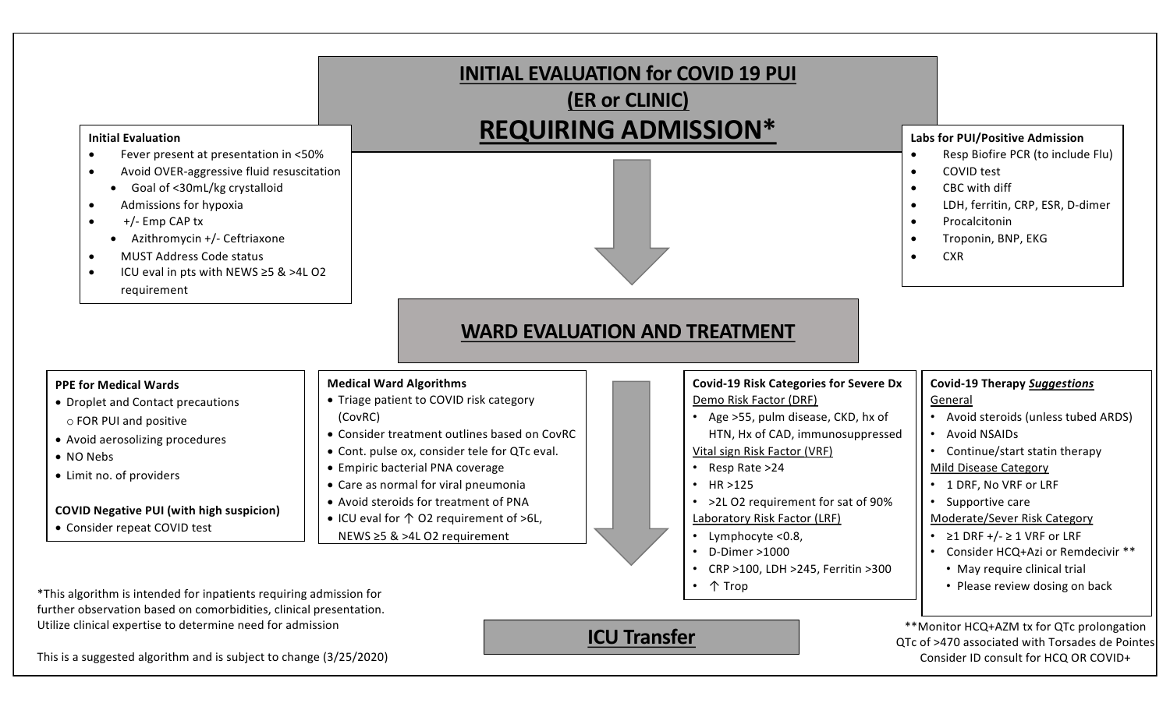